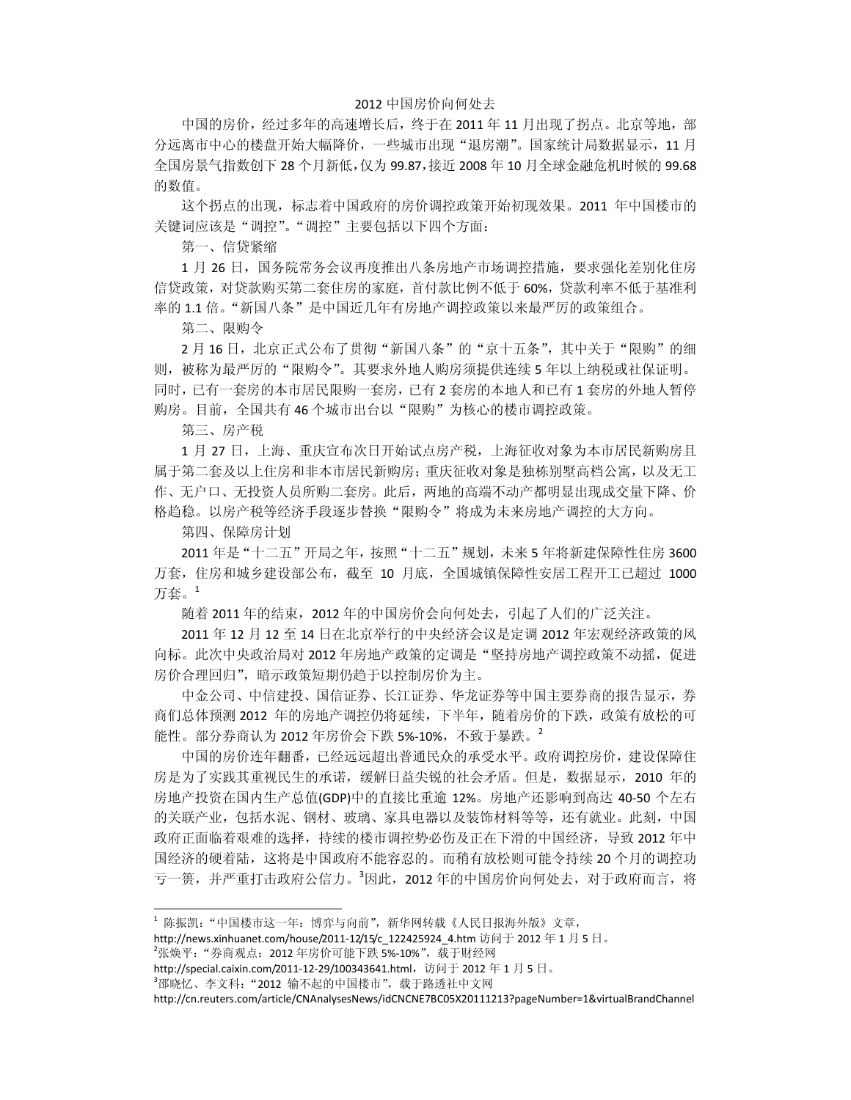## 2012 中国房价向何处去

中国的房价,经过多年的高速增长后,终于在 2011 年 11 月出现了拐点。北京等地,部 分远离市中心的楼盘开始大幅降价,一些城市出现"退房潮"。国家统计局数据显示,11 月 全国房景气指数创下 28 个月新低,仅为 99.87,接近 2008 年 10 月全球金融危机时候的 99.68 的数值。

这个拐点的出现,标志着中国政府的房价调控政策开始初现效果。2011 年中国楼市的 关键词应该是"调控"。"调控"主要包括以下四个方面:

第一、信贷紧缩

1 月 26 日, 国务院常务会议再度推出八条房地产市场调控措施, 要求强化差别化住房 信贷政策,对贷款购买第二套住房的家庭,首付款比例不低于 60%,贷款利率不低于基准利 率的 1.1 倍。"新国八条"是中国近几年有房地产调控政策以来最严厉的政策组合。

第二、限购令

2月16日,北京正式公布了贯彻"新国八条"的"京十五条",其中关于"限购"的细 则,被称为最严厉的"限购令"。其要求外地人购房须提供连续 5 年以上纳税或社保证明。 同时,已有一套房的本市居民限购一套房,已有 2 套房的本地人和已有 1 套房的外地人暂停 购房。目前,全国共有46个城市出台以"限购"为核心的楼市调控政策。

第三、房产税

1 月 27 日, 上海、重庆宣布次日开始试点房产税, 上海征收对象为本市居民新购房且 属于第二套及以上住房和非本市居民新购房;重庆征收对象是独栋别墅高档公寓,以及无工 作、无户口、无投资人员所购二套房。此后,两地的高端不动产都明显出现成交量下降、价 格趋稳。以房产税等经济手段逐步替换"限购令"将成为未来房地产调控的大方向。

第四、保障房计划

2011 年是"十二五"开局之年,按照"十二五"规划,未来 5 年将新建保障性住房 3600 万套,住房和城乡建设部公布,截至 10 月底,全国城镇保障性安居工程开工已超过 1000 万套。<sup>1</sup>

随着 2011 年的结束,2012 年的中国房价会向何处去,引起了人们的广泛关注。

2011 年 12 月 12 至 14 日在北京举行的中央经济会议是定调 2012 年宏观经济政策的风 向标。此次中央政治局对 2012 年房地产政策的定调是"坚持房地产调控政策不动摇, 促进 房价合理回归",暗示政策短期仍趋于以控制房价为主。

中金公司、中信建投、国信证券、长江证券、华龙证券等中国主要券商的报告显示,券 商们总体预测 2012 年的房地产调控仍将延续,下半年,随着房价的下跌,政策有放松的可 能性。部分券商认为 2012 年房价会下跌 5%-10%, 不致于暴跌。 2

中国的房价连年翻番,已经远远超出普通民众的承受水平。政府调控房价,建设保障住 房是为了实践其重视民生的承诺,缓解日益尖锐的社会矛盾。但是,数据显示,2010 年的 房地产投资在国内生产总值(GDP)中的直接比重逾 12%。房地产还影响到高达 40‐50 个左右 的关联产业,包括水泥、钢材、玻璃、家具电器以及装饰材料等等,还有就业。此刻,中国 政府正面临着艰难的选择,持续的楼市调控势必伤及正在下滑的中国经济,导致 2012 年中 国经济的硬着陆,这将是中国政府不能容忍的。而稍有放松则可能令持续 20 个月的调控功 亏一篑, 并严重打击政府公信力。<sup>3</sup>因此, 2012年的中国房价向何处去, 对于政府而言, 将

<sup>1</sup> 陈振凯:"中国楼市这一年:博弈与向前",新华网转载《人民日报海外版》文章,

http://news.xinhuanet.com/house/2011-12/15/c\_122425924\_4.htm 访问于 2012 年 1 月 5 日。

<sup>&</sup>lt;sup>2</sup>张焕平: "券商观点: 2012年房价可能下跌 5%-10%", 载于财经网

http://special.caixin.com/2011-12-29/100343641.html, 访问于 2012 年 1 月 5 日。

<sup>3</sup> 邵晓忆、李文科:"2012 输不起的中国楼市",载于路透社中文网

http://cn.reuters.com/article/CNAnalysesNews/idCNCNE7BC05X20111213?pageNumber=1&virtualBrandChannel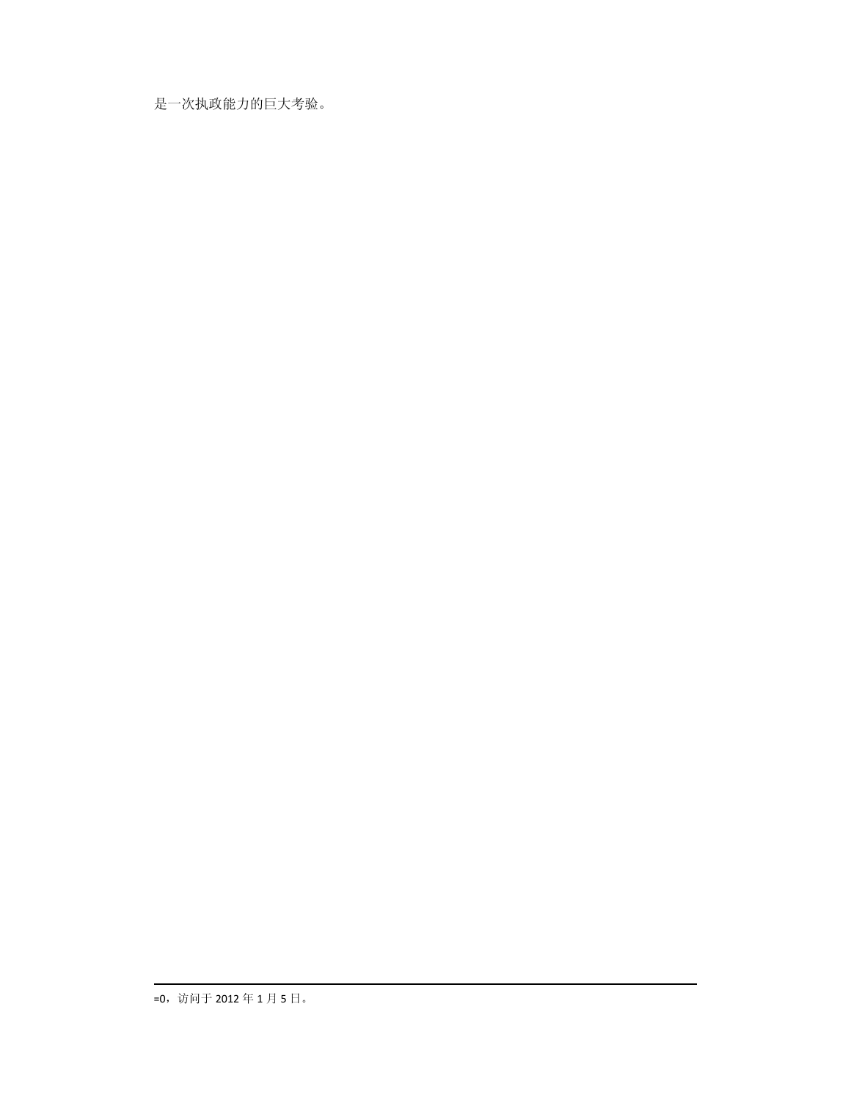是一次执政能力的巨大考验。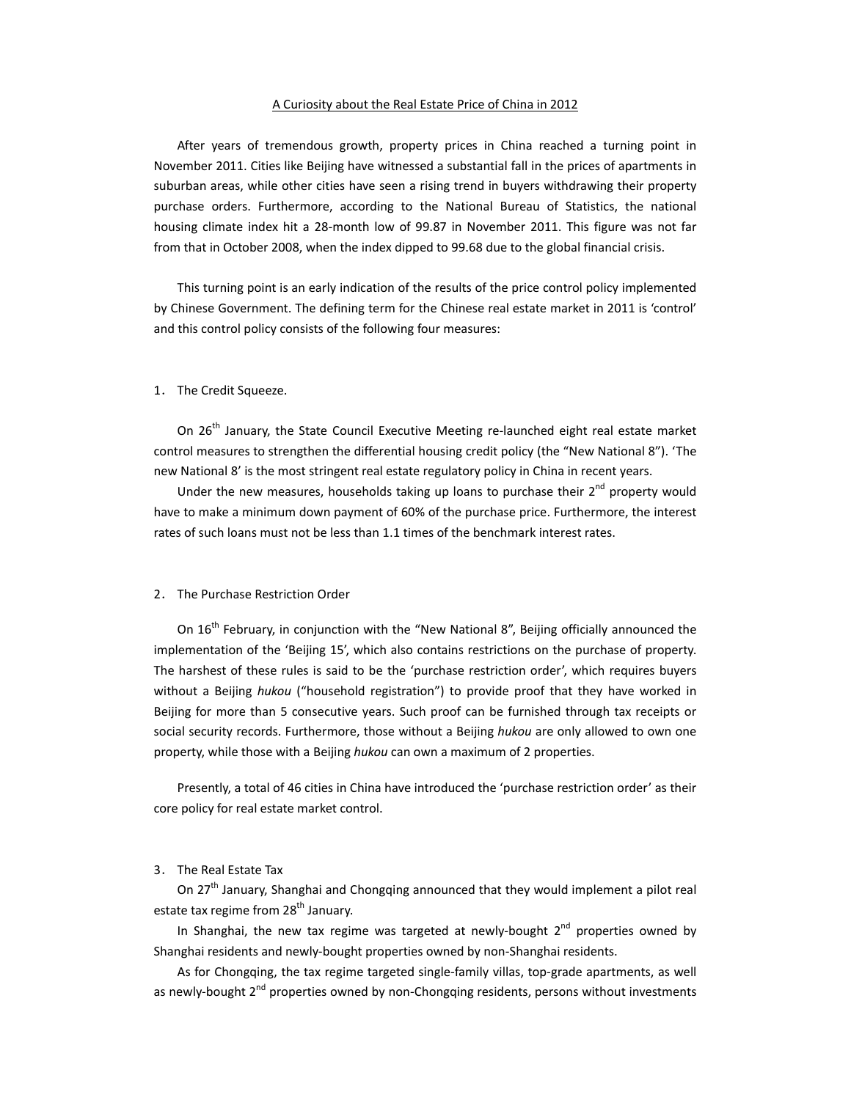#### A Curiosity about the Real Estate Price of China in 2012

After years of tremendous growth, property prices in China reached a turning point in November 2011. Cities like Beijing have witnessed a substantial fall in the prices of apartments in suburban areas, while other cities have seen a rising trend in buyers withdrawing their property purchase orders. Furthermore, according to the National Bureau of Statistics, the national housing climate index hit a 28-month low of 99.87 in November 2011. This figure was not far from that in October 2008, when the index dipped to 99.68 due to the global financial crisis.

This turning point is an early indication of the results of the price control policy implemented by Chinese Government. The defining term for the Chinese real estate market in 2011 is 'control' and this control policy consists of the following four measures:

#### 1. The Credit Squeeze.

On 26<sup>th</sup> January, the State Council Executive Meeting re-launched eight real estate market control measures to strengthen the differential housing credit policy (the "New National 8"). 'The new National 8' is the most stringent real estate regulatory policy in China in recent years.

Under the new measures, households taking up loans to purchase their  $2^{nd}$  property would have to make a minimum down payment of 60% of the purchase price. Furthermore, the interest rates of such loans must not be less than 1.1 times of the benchmark interest rates.

## 2. The Purchase Restriction Order

On 16<sup>th</sup> February, in conjunction with the "New National 8", Beijing officially announced the implementation of the 'Beijing 15', which also contains restrictions on the purchase of property. The harshest of these rules is said to be the 'purchase restriction order', which requires buyers without a Beijing *hukou* ("household registration") to provide proof that they have worked in Beijing for more than 5 consecutive years. Such proof can be furnished through tax receipts or social security records. Furthermore, those without a Beijing *hukou* are only allowed to own one property, while those with a Beijing *hukou* can own a maximum of 2 properties.

Presently, a total of 46 cities in China have introduced the 'purchase restriction order' as their core policy for real estate market control.

# 3. The Real Estate Tax

On  $27<sup>th</sup>$  January, Shanghai and Chongqing announced that they would implement a pilot real estate tax regime from 28<sup>th</sup> January.

In Shanghai, the new tax regime was targeted at newly-bought  $2<sup>nd</sup>$  properties owned by Shanghai residents and newly‐bought properties owned by non‐Shanghai residents.

As for Chongqing, the tax regime targeted single-family villas, top-grade apartments, as well as newly-bought 2<sup>nd</sup> properties owned by non-Chongqing residents, persons without investments